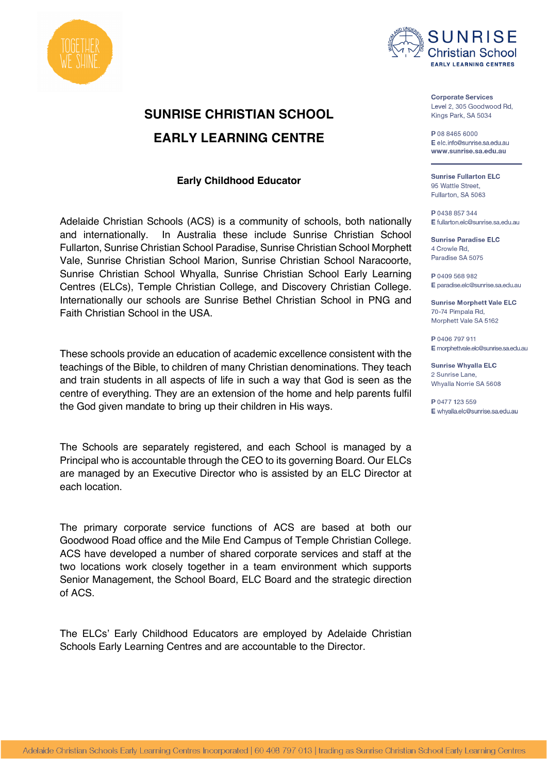



# **SUNRISE CHRISTIAN SCHOOL EARLY LEARNING CENTRE**

## **Early Childhood Educator**

Adelaide Christian Schools (ACS) is a community of schools, both nationally and internationally. In Australia these include Sunrise Christian School Fullarton, Sunrise Christian School Paradise, Sunrise Christian School Morphett Vale, Sunrise Christian School Marion, Sunrise Christian School Naracoorte, Sunrise Christian School Whyalla, Sunrise Christian School Early Learning Centres (ELCs), Temple Christian College, and Discovery Christian College. Internationally our schools are Sunrise Bethel Christian School in PNG and Faith Christian School in the USA.

These schools provide an education of academic excellence consistent with the teachings of the Bible, to children of many Christian denominations. They teach and train students in all aspects of life in such a way that God is seen as the centre of everything. They are an extension of the home and help parents fulfil the God given mandate to bring up their children in His ways.

The Schools are separately registered, and each School is managed by a Principal who is accountable through the CEO to its governing Board. Our ELCs are managed by an Executive Director who is assisted by an ELC Director at each location.

The primary corporate service functions of ACS are based at both our Goodwood Road office and the Mile End Campus of Temple Christian College. ACS have developed a number of shared corporate services and staff at the two locations work closely together in a team environment which supports Senior Management, the School Board, ELC Board and the strategic direction of ACS.

The ELCs' Early Childhood Educators are employed by Adelaide Christian Schools Early Learning Centres and are accountable to the Director.

**Corporate Services** Level 2, 305 Goodwood Rd, Kings Park, SA 5034

P 08 8465 6000 E elc info@sunrise sa edu au www.sunrise.sa.edu.au

**Sunrise Fullarton ELC** 95 Wattle Street. Fullarton, SA 5063

P 0438 857 344 E fullarton.elc@sunrise.sa.edu.au

**Sunrise Paradise ELC** 4 Crowle Rd. Paradise SA 5075

P 0409 568 982 E paradise.elc@sunrise.sa.edu.au

**Sunrise Morphett Vale ELC** 70-74 Pimpala Rd, Morphett Vale SA 5162

P 0406 797 911 E morphettvale.elc@sunrise.sa.edu.au

**Sunrise Whyalla ELC** 2 Sunrise Lane. Whyalla Norrie SA 5608

P 0477 123 559 E whyalla elc@sunrise sa edu au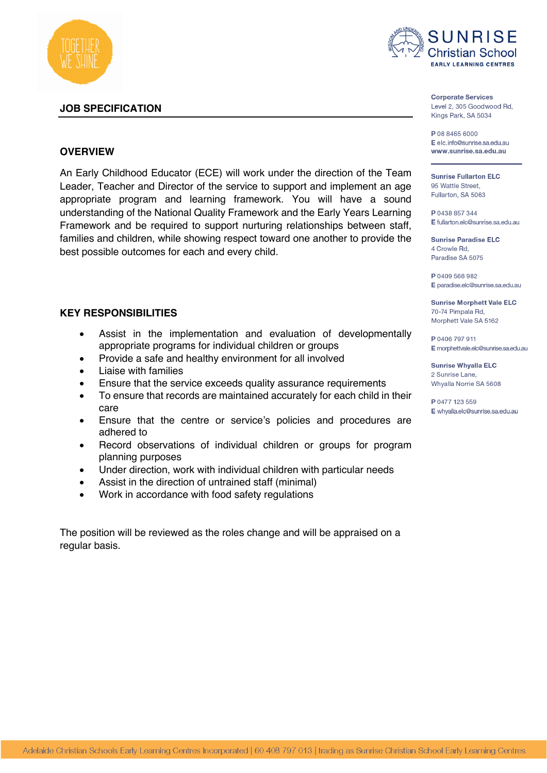

#### **JOB SPECIFICATION**



**Corporate Services** Level 2, 305 Goodwood Rd, Kings Park, SA 5034

P 08 8465 6000 E elc info@sunrise sa edu au www.sunrise.sa.edu.au

**Sunrise Fullarton ELC** 95 Wattle Street. Fullarton, SA 5063

P 0438 857 344 E fullarton.elc@sunrise.sa.edu.au

**Sunrise Paradise ELC** 4 Crowle Rd. Paradise SA 5075

P 0409 568 982 E paradise.elc@sunrise.sa.edu.au

**Sunrise Morphett Vale ELC** 70-74 Pimpala Rd, Morphett Vale SA 5162

P 0406 797 911 E morphettvale.elc@sunrise.sa.edu.au

**Sunrise Whyalla ELC** 2 Sunrise Lane. Whyalla Norrie SA 5608

P 0477 123 559 E whyalla.elc@sunrise.sa.edu.au

## **OVERVIEW**

An Early Childhood Educator (ECE) will work under the direction of the Team Leader, Teacher and Director of the service to support and implement an age appropriate program and learning framework. You will have a sound understanding of the National Quality Framework and the Early Years Learning Framework and be required to support nurturing relationships between staff, families and children, while showing respect toward one another to provide the best possible outcomes for each and every child.

#### **KEY RESPONSIBILITIES**

- Assist in the implementation and evaluation of developmentally appropriate programs for individual children or groups
- Provide a safe and healthy environment for all involved
- Liaise with families
- Ensure that the service exceeds quality assurance requirements
- To ensure that records are maintained accurately for each child in their care
- Ensure that the centre or service's policies and procedures are adhered to
- Record observations of individual children or groups for program planning purposes
- Under direction, work with individual children with particular needs
- Assist in the direction of untrained staff (minimal)
- Work in accordance with food safety regulations

The position will be reviewed as the roles change and will be appraised on a regular basis.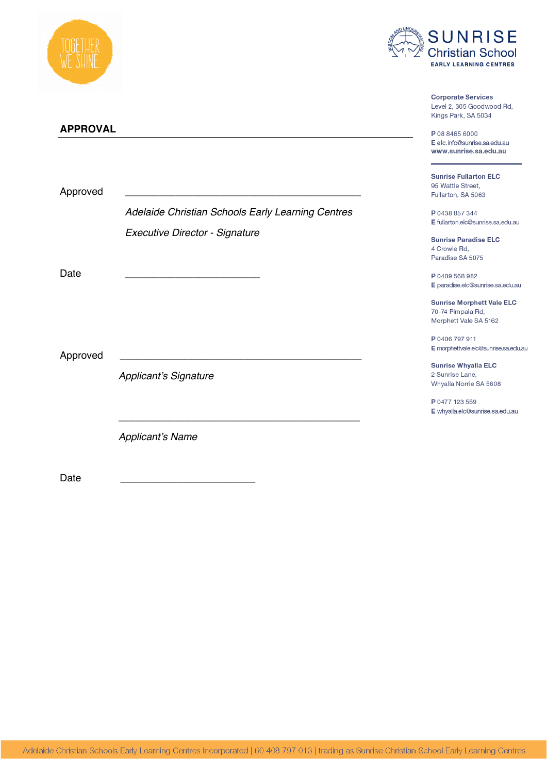



**Corporate Services** 

|                 |                                                   | Level 2, 305 Goodwood Rd,<br>Kings Park, SA 5034                               |
|-----------------|---------------------------------------------------|--------------------------------------------------------------------------------|
| <b>APPROVAL</b> |                                                   |                                                                                |
|                 |                                                   | P 08 8465 6000<br>E elc.info@sunrise.sa.edu.au<br>www.sunrise.sa.edu.au        |
| Approved        |                                                   | <b>Sunrise Fullarton ELC</b><br>95 Wattle Street,<br>Fullarton, SA 5063        |
|                 | Adelaide Christian Schools Early Learning Centres | P 0438 857 344<br>E fullarton.elc@sunrise.sa.edu.au                            |
|                 | Executive Director - Signature                    | <b>Sunrise Paradise ELC</b><br>4 Crowle Rd.<br>Paradise SA 5075                |
| Date            |                                                   | P 0409 568 982<br>E paradise.elc@sunrise.sa.edu.au                             |
|                 |                                                   | <b>Sunrise Morphett Vale ELC</b><br>70-74 Pimpala Rd,<br>Morphett Vale SA 5162 |
| Approved        |                                                   | P 0406 797 911<br>E morphettvale.elc@sunrise.sa.edu.au                         |
|                 | <b>Applicant's Signature</b>                      | <b>Sunrise Whyalla ELC</b><br>2 Sunrise Lane,<br>Whyalla Norrie SA 5608        |
|                 |                                                   | P 0477 123 559<br>E whyalla.elc@sunrise.sa.edu.au                              |
|                 | <b>Applicant's Name</b>                           |                                                                                |
| Date            |                                                   |                                                                                |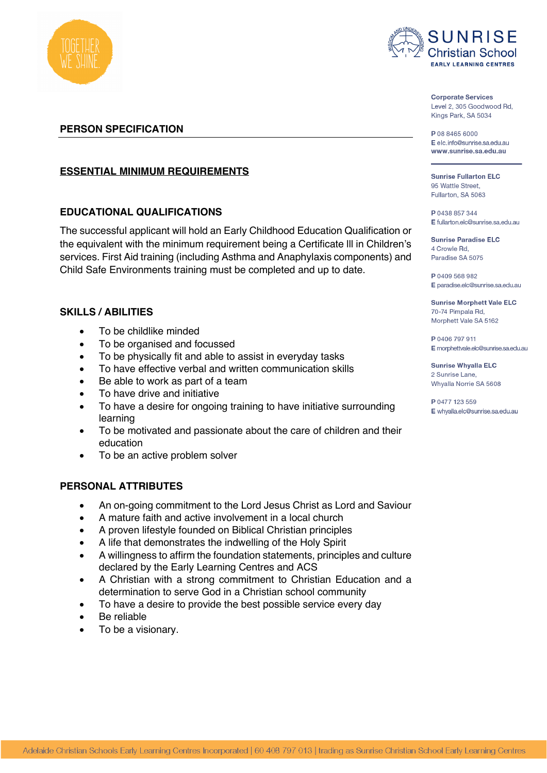



**Corporate Services** Level 2, 305 Goodwood Rd, Kings Park, SA 5034

P 08 8465 6000 E elc info@sunrise sa edu au www.sunrise.sa.edu.au

**Sunrise Fullarton ELC** 95 Wattle Street. Fullarton, SA 5063

P 0438 857 344 E fullarton.elc@sunrise.sa.edu.au

**Sunrise Paradise ELC** 4 Crowle Rd. Paradise SA 5075

P 0409 568 982 E paradise.elc@sunrise.sa.edu.au

**Sunrise Morphett Vale ELC** 70-74 Pimpala Rd, Morphett Vale SA 5162

P 0406 797 911 E morphettvale.elc@sunrise.sa.edu.au

**Sunrise Whyalla ELC** 2 Sunrise Lane. Whyalla Norrie SA 5608

P 0477 123 559 E whyalla.elc@sunrise.sa.edu.au

**PERSON SPECIFICATION**

# **ESSENTIAL MINIMUM REQUIREMENTS**

# **EDUCATIONAL QUALIFICATIONS**

The successful applicant will hold an Early Childhood Education Qualification or the equivalent with the minimum requirement being a Certificate lll in Children's services. First Aid training (including Asthma and Anaphylaxis components) and Child Safe Environments training must be completed and up to date.

# **SKILLS / ABILITIES**

- To be childlike minded
- To be organised and focussed
- To be physically fit and able to assist in everyday tasks
- To have effective verbal and written communication skills
- Be able to work as part of a team
- To have drive and initiative
- To have a desire for ongoing training to have initiative surrounding learning
- To be motivated and passionate about the care of children and their education
- To be an active problem solver

#### **PERSONAL ATTRIBUTES**

- An on-going commitment to the Lord Jesus Christ as Lord and Saviour
- A mature faith and active involvement in a local church
- A proven lifestyle founded on Biblical Christian principles
- A life that demonstrates the indwelling of the Holy Spirit
- A willingness to affirm the foundation statements, principles and culture declared by the Early Learning Centres and ACS
- A Christian with a strong commitment to Christian Education and a determination to serve God in a Christian school community
- To have a desire to provide the best possible service every day
- Be reliable
- To be a visionary.